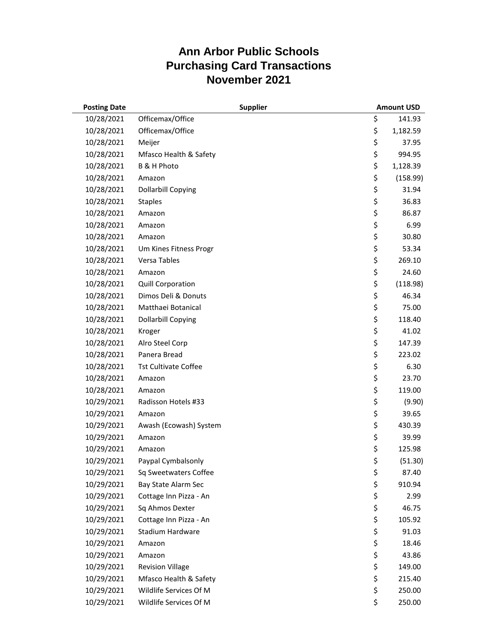| <b>Posting Date</b> |                             | <b>Supplier</b> | <b>Amount USD</b> |
|---------------------|-----------------------------|-----------------|-------------------|
| 10/28/2021          | Officemax/Office            |                 | \$<br>141.93      |
| 10/28/2021          | Officemax/Office            |                 | \$<br>1,182.59    |
| 10/28/2021          | Meijer                      |                 | \$<br>37.95       |
| 10/28/2021          | Mfasco Health & Safety      |                 | \$<br>994.95      |
| 10/28/2021          | B & H Photo                 |                 | \$<br>1,128.39    |
| 10/28/2021          | Amazon                      |                 | \$<br>(158.99)    |
| 10/28/2021          | <b>Dollarbill Copying</b>   |                 | \$<br>31.94       |
| 10/28/2021          | <b>Staples</b>              |                 | \$<br>36.83       |
| 10/28/2021          | Amazon                      |                 | \$<br>86.87       |
| 10/28/2021          | Amazon                      |                 | \$<br>6.99        |
| 10/28/2021          | Amazon                      |                 | \$<br>30.80       |
| 10/28/2021          | Um Kines Fitness Progr      |                 | \$<br>53.34       |
| 10/28/2021          | Versa Tables                |                 | \$<br>269.10      |
| 10/28/2021          | Amazon                      |                 | \$<br>24.60       |
| 10/28/2021          | Quill Corporation           |                 | \$<br>(118.98)    |
| 10/28/2021          | Dimos Deli & Donuts         |                 | \$<br>46.34       |
| 10/28/2021          | Matthaei Botanical          |                 | \$<br>75.00       |
| 10/28/2021          | <b>Dollarbill Copying</b>   |                 | \$<br>118.40      |
| 10/28/2021          | Kroger                      |                 | \$<br>41.02       |
| 10/28/2021          | Alro Steel Corp             |                 | \$<br>147.39      |
| 10/28/2021          | Panera Bread                |                 | \$<br>223.02      |
| 10/28/2021          | <b>Tst Cultivate Coffee</b> |                 | \$<br>6.30        |
| 10/28/2021          | Amazon                      |                 | \$<br>23.70       |
| 10/28/2021          | Amazon                      |                 | \$<br>119.00      |
| 10/29/2021          | Radisson Hotels #33         |                 | \$<br>(9.90)      |
| 10/29/2021          | Amazon                      |                 | \$<br>39.65       |
| 10/29/2021          | Awash (Ecowash) System      |                 | \$<br>430.39      |
| 10/29/2021          | Amazon                      |                 | \$<br>39.99       |
| 10/29/2021          | Amazon                      |                 | \$<br>125.98      |
| 10/29/2021          | Paypal Cymbalsonly          |                 | \$<br>(51.30)     |
| 10/29/2021          | Sq Sweetwaters Coffee       |                 | \$<br>87.40       |
| 10/29/2021          | Bay State Alarm Sec         |                 | \$<br>910.94      |
| 10/29/2021          | Cottage Inn Pizza - An      |                 | \$<br>2.99        |
| 10/29/2021          | Sq Ahmos Dexter             |                 | \$<br>46.75       |
| 10/29/2021          | Cottage Inn Pizza - An      |                 | \$<br>105.92      |
| 10/29/2021          | <b>Stadium Hardware</b>     |                 | \$<br>91.03       |
| 10/29/2021          | Amazon                      |                 | \$<br>18.46       |
| 10/29/2021          | Amazon                      |                 | \$<br>43.86       |
| 10/29/2021          | <b>Revision Village</b>     |                 | \$<br>149.00      |
| 10/29/2021          | Mfasco Health & Safety      |                 | \$<br>215.40      |
| 10/29/2021          | Wildlife Services Of M      |                 | \$<br>250.00      |
| 10/29/2021          | Wildlife Services Of M      |                 | \$<br>250.00      |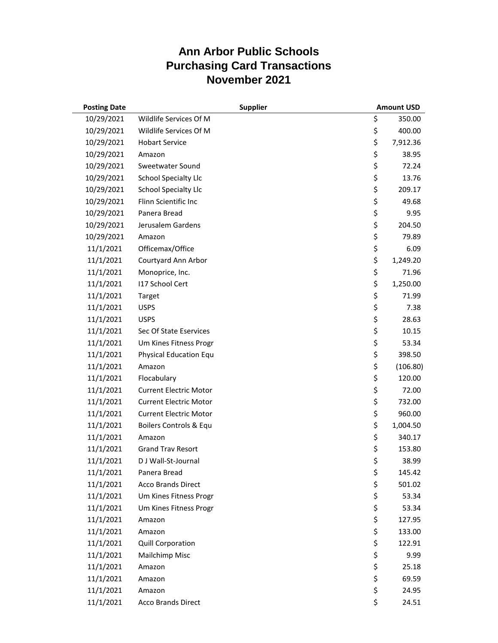| <b>Posting Date</b> |                               | <b>Supplier</b> | <b>Amount USD</b> |
|---------------------|-------------------------------|-----------------|-------------------|
| 10/29/2021          | Wildlife Services Of M        |                 | \$<br>350.00      |
| 10/29/2021          | Wildlife Services Of M        |                 | \$<br>400.00      |
| 10/29/2021          | <b>Hobart Service</b>         |                 | \$<br>7,912.36    |
| 10/29/2021          | Amazon                        |                 | \$<br>38.95       |
| 10/29/2021          | Sweetwater Sound              |                 | \$<br>72.24       |
| 10/29/2021          | <b>School Specialty Llc</b>   |                 | \$<br>13.76       |
| 10/29/2021          | <b>School Specialty Llc</b>   |                 | \$<br>209.17      |
| 10/29/2021          | Flinn Scientific Inc          |                 | \$<br>49.68       |
| 10/29/2021          | Panera Bread                  |                 | \$<br>9.95        |
| 10/29/2021          | Jerusalem Gardens             |                 | \$<br>204.50      |
| 10/29/2021          | Amazon                        |                 | \$<br>79.89       |
| 11/1/2021           | Officemax/Office              |                 | \$<br>6.09        |
| 11/1/2021           | Courtyard Ann Arbor           |                 | \$<br>1,249.20    |
| 11/1/2021           | Monoprice, Inc.               |                 | \$<br>71.96       |
| 11/1/2021           | 117 School Cert               |                 | \$<br>1,250.00    |
| 11/1/2021           | Target                        |                 | \$<br>71.99       |
| 11/1/2021           | <b>USPS</b>                   |                 | \$<br>7.38        |
| 11/1/2021           | <b>USPS</b>                   |                 | \$<br>28.63       |
| 11/1/2021           | Sec Of State Eservices        |                 | \$<br>10.15       |
| 11/1/2021           | Um Kines Fitness Progr        |                 | \$<br>53.34       |
| 11/1/2021           | <b>Physical Education Equ</b> |                 | \$<br>398.50      |
| 11/1/2021           | Amazon                        |                 | \$<br>(106.80)    |
| 11/1/2021           | Flocabulary                   |                 | \$<br>120.00      |
| 11/1/2021           | <b>Current Electric Motor</b> |                 | \$<br>72.00       |
| 11/1/2021           | <b>Current Electric Motor</b> |                 | \$<br>732.00      |
| 11/1/2021           | <b>Current Electric Motor</b> |                 | \$<br>960.00      |
| 11/1/2021           | Boilers Controls & Equ        |                 | \$<br>1,004.50    |
| 11/1/2021           | Amazon                        |                 | \$<br>340.17      |
| 11/1/2021           | <b>Grand Trav Resort</b>      |                 | \$<br>153.80      |
| 11/1/2021           | D J Wall-St-Journal           |                 | \$<br>38.99       |
| 11/1/2021           | Panera Bread                  |                 | \$<br>145.42      |
| 11/1/2021           | <b>Acco Brands Direct</b>     |                 | \$<br>501.02      |
| 11/1/2021           | Um Kines Fitness Progr        |                 | \$<br>53.34       |
| 11/1/2021           | Um Kines Fitness Progr        |                 | \$<br>53.34       |
| 11/1/2021           | Amazon                        |                 | \$<br>127.95      |
| 11/1/2021           | Amazon                        |                 | \$<br>133.00      |
| 11/1/2021           | <b>Quill Corporation</b>      |                 | \$<br>122.91      |
| 11/1/2021           | Mailchimp Misc                |                 | \$<br>9.99        |
| 11/1/2021           | Amazon                        |                 | \$<br>25.18       |
| 11/1/2021           | Amazon                        |                 | \$<br>69.59       |
| 11/1/2021           | Amazon                        |                 | \$<br>24.95       |
| 11/1/2021           | Acco Brands Direct            |                 | \$<br>24.51       |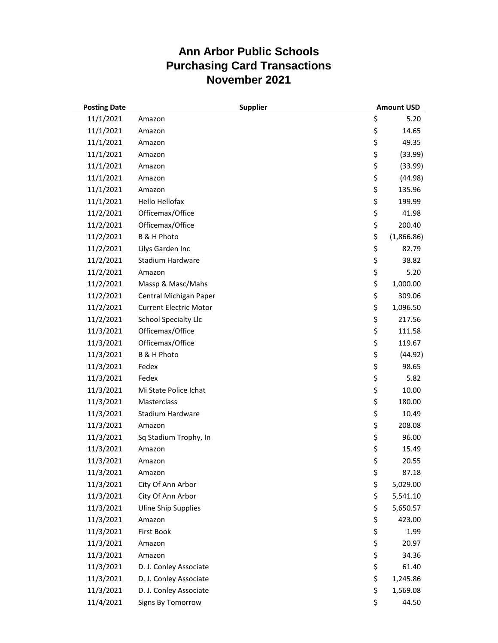| <b>Posting Date</b> |                               | <b>Supplier</b> | <b>Amount USD</b> |
|---------------------|-------------------------------|-----------------|-------------------|
| 11/1/2021           | Amazon                        |                 | \$<br>5.20        |
| 11/1/2021           | Amazon                        |                 | \$<br>14.65       |
| 11/1/2021           | Amazon                        |                 | \$<br>49.35       |
| 11/1/2021           | Amazon                        |                 | \$<br>(33.99)     |
| 11/1/2021           | Amazon                        |                 | \$<br>(33.99)     |
| 11/1/2021           | Amazon                        |                 | \$<br>(44.98)     |
| 11/1/2021           | Amazon                        |                 | \$<br>135.96      |
| 11/1/2021           | Hello Hellofax                |                 | \$<br>199.99      |
| 11/2/2021           | Officemax/Office              |                 | \$<br>41.98       |
| 11/2/2021           | Officemax/Office              |                 | \$<br>200.40      |
| 11/2/2021           | B & H Photo                   |                 | \$<br>(1,866.86)  |
| 11/2/2021           | Lilys Garden Inc              |                 | \$<br>82.79       |
| 11/2/2021           | Stadium Hardware              |                 | \$<br>38.82       |
| 11/2/2021           | Amazon                        |                 | \$<br>5.20        |
| 11/2/2021           | Massp & Masc/Mahs             |                 | \$<br>1,000.00    |
| 11/2/2021           | Central Michigan Paper        |                 | \$<br>309.06      |
| 11/2/2021           | <b>Current Electric Motor</b> |                 | \$<br>1,096.50    |
| 11/2/2021           | <b>School Specialty Llc</b>   |                 | \$<br>217.56      |
| 11/3/2021           | Officemax/Office              |                 | \$<br>111.58      |
| 11/3/2021           | Officemax/Office              |                 | \$<br>119.67      |
| 11/3/2021           | <b>B &amp; H Photo</b>        |                 | \$<br>(44.92)     |
| 11/3/2021           | Fedex                         |                 | \$<br>98.65       |
| 11/3/2021           | Fedex                         |                 | \$<br>5.82        |
| 11/3/2021           | Mi State Police Ichat         |                 | \$<br>10.00       |
| 11/3/2021           | Masterclass                   |                 | \$<br>180.00      |
| 11/3/2021           | Stadium Hardware              |                 | \$<br>10.49       |
| 11/3/2021           | Amazon                        |                 | \$<br>208.08      |
| 11/3/2021           | Sq Stadium Trophy, In         |                 | \$<br>96.00       |
| 11/3/2021           | Amazon                        |                 | \$<br>15.49       |
| 11/3/2021           | Amazon                        |                 | \$<br>20.55       |
| 11/3/2021           | Amazon                        |                 | \$<br>87.18       |
| 11/3/2021           | City Of Ann Arbor             |                 | \$<br>5,029.00    |
| 11/3/2021           | City Of Ann Arbor             |                 | \$<br>5,541.10    |
| 11/3/2021           | <b>Uline Ship Supplies</b>    |                 | \$<br>5,650.57    |
| 11/3/2021           | Amazon                        |                 | \$<br>423.00      |
| 11/3/2021           | First Book                    |                 | \$<br>1.99        |
| 11/3/2021           | Amazon                        |                 | \$<br>20.97       |
| 11/3/2021           | Amazon                        |                 | \$<br>34.36       |
| 11/3/2021           | D. J. Conley Associate        |                 | \$<br>61.40       |
| 11/3/2021           | D. J. Conley Associate        |                 | \$<br>1,245.86    |
| 11/3/2021           | D. J. Conley Associate        |                 | \$<br>1,569.08    |
| 11/4/2021           | Signs By Tomorrow             |                 | \$<br>44.50       |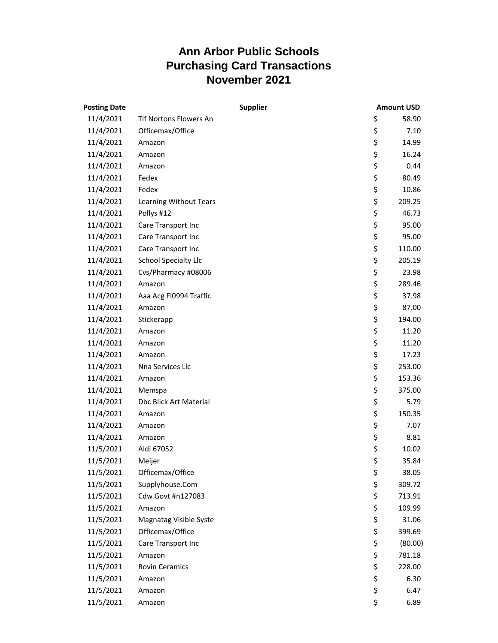| <b>Posting Date</b> | <b>Supplier</b>             |    | <b>Amount USD</b> |
|---------------------|-----------------------------|----|-------------------|
| 11/4/2021           | Tlf Nortons Flowers An      | \$ | 58.90             |
| 11/4/2021           | Officemax/Office            | \$ | 7.10              |
| 11/4/2021           | Amazon                      | \$ | 14.99             |
| 11/4/2021           | Amazon                      | \$ | 16.24             |
| 11/4/2021           | Amazon                      | \$ | 0.44              |
| 11/4/2021           | Fedex                       | \$ | 80.49             |
| 11/4/2021           | Fedex                       | \$ | 10.86             |
| 11/4/2021           | Learning Without Tears      | \$ | 209.25            |
| 11/4/2021           | Pollys #12                  | \$ | 46.73             |
| 11/4/2021           | Care Transport Inc          | \$ | 95.00             |
| 11/4/2021           | Care Transport Inc          | \$ | 95.00             |
| 11/4/2021           | Care Transport Inc          | \$ | 110.00            |
| 11/4/2021           | <b>School Specialty Llc</b> | \$ | 205.19            |
| 11/4/2021           | Cvs/Pharmacy #08006         | \$ | 23.98             |
| 11/4/2021           | Amazon                      | \$ | 289.46            |
| 11/4/2021           | Aaa Acg Fl0994 Traffic      | \$ | 37.98             |
| 11/4/2021           | Amazon                      | \$ | 87.00             |
| 11/4/2021           | Stickerapp                  | \$ | 194.00            |
| 11/4/2021           | Amazon                      | \$ | 11.20             |
| 11/4/2021           | Amazon                      | \$ | 11.20             |
| 11/4/2021           | Amazon                      | \$ | 17.23             |
| 11/4/2021           | Nna Services Llc            | \$ | 253.00            |
| 11/4/2021           | Amazon                      | \$ | 153.36            |
| 11/4/2021           | Memspa                      | \$ | 375.00            |
| 11/4/2021           | Dbc Blick Art Material      | \$ | 5.79              |
| 11/4/2021           | Amazon                      | \$ | 150.35            |
| 11/4/2021           | Amazon                      | \$ | 7.07              |
| 11/4/2021           | Amazon                      | \$ | 8.81              |
| 11/5/2021           | Aldi 67052                  | \$ | 10.02             |
| 11/5/2021           | Meijer                      | \$ | 35.84             |
| 11/5/2021           | Officemax/Office            | \$ | 38.05             |
| 11/5/2021           | Supplyhouse.Com             | \$ | 309.72            |
| 11/5/2021           | Cdw Govt #n127083           | \$ | 713.91            |
| 11/5/2021           | Amazon                      | \$ | 109.99            |
| 11/5/2021           | Magnatag Visible Syste      | \$ | 31.06             |
| 11/5/2021           | Officemax/Office            | \$ | 399.69            |
| 11/5/2021           | Care Transport Inc          | \$ | (80.00)           |
| 11/5/2021           | Amazon                      | \$ | 781.18            |
| 11/5/2021           | <b>Rovin Ceramics</b>       | \$ | 228.00            |
| 11/5/2021           | Amazon                      | \$ | 6.30              |
| 11/5/2021           | Amazon                      | \$ | 6.47              |
| 11/5/2021           | Amazon                      | \$ | 6.89              |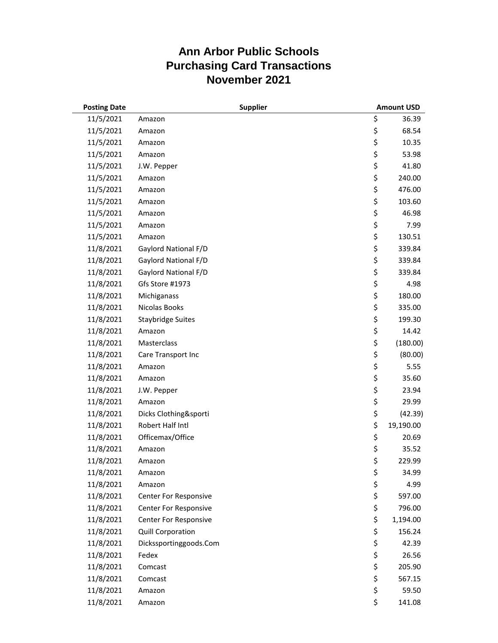| <b>Posting Date</b> |                          | <b>Supplier</b> | <b>Amount USD</b> |
|---------------------|--------------------------|-----------------|-------------------|
| 11/5/2021           | Amazon                   |                 | \$<br>36.39       |
| 11/5/2021           | Amazon                   |                 | \$<br>68.54       |
| 11/5/2021           | Amazon                   |                 | \$<br>10.35       |
| 11/5/2021           | Amazon                   |                 | \$<br>53.98       |
| 11/5/2021           | J.W. Pepper              |                 | \$<br>41.80       |
| 11/5/2021           | Amazon                   |                 | \$<br>240.00      |
| 11/5/2021           | Amazon                   |                 | \$<br>476.00      |
| 11/5/2021           | Amazon                   |                 | \$<br>103.60      |
| 11/5/2021           | Amazon                   |                 | \$<br>46.98       |
| 11/5/2021           | Amazon                   |                 | \$<br>7.99        |
| 11/5/2021           | Amazon                   |                 | \$<br>130.51      |
| 11/8/2021           | Gaylord National F/D     |                 | \$<br>339.84      |
| 11/8/2021           | Gaylord National F/D     |                 | \$<br>339.84      |
| 11/8/2021           | Gaylord National F/D     |                 | \$<br>339.84      |
| 11/8/2021           | Gfs Store #1973          |                 | \$<br>4.98        |
| 11/8/2021           | Michiganass              |                 | \$<br>180.00      |
| 11/8/2021           | <b>Nicolas Books</b>     |                 | \$<br>335.00      |
| 11/8/2021           | <b>Staybridge Suites</b> |                 | \$<br>199.30      |
| 11/8/2021           | Amazon                   |                 | \$<br>14.42       |
| 11/8/2021           | Masterclass              |                 | \$<br>(180.00)    |
| 11/8/2021           | Care Transport Inc       |                 | \$<br>(80.00)     |
| 11/8/2021           | Amazon                   |                 | \$<br>5.55        |
| 11/8/2021           | Amazon                   |                 | \$<br>35.60       |
| 11/8/2021           | J.W. Pepper              |                 | \$<br>23.94       |
| 11/8/2021           | Amazon                   |                 | \$<br>29.99       |
| 11/8/2021           | Dicks Clothing&sporti    |                 | \$<br>(42.39)     |
| 11/8/2021           | Robert Half Intl         |                 | \$<br>19,190.00   |
| 11/8/2021           | Officemax/Office         |                 | \$<br>20.69       |
| 11/8/2021           | Amazon                   |                 | \$<br>35.52       |
| 11/8/2021           | Amazon                   |                 | \$<br>229.99      |
| 11/8/2021           | Amazon                   |                 | \$<br>34.99       |
| 11/8/2021           | Amazon                   |                 | \$<br>4.99        |
| 11/8/2021           | Center For Responsive    |                 | \$<br>597.00      |
| 11/8/2021           | Center For Responsive    |                 | \$<br>796.00      |
| 11/8/2021           | Center For Responsive    |                 | \$<br>1,194.00    |
| 11/8/2021           | <b>Quill Corporation</b> |                 | \$<br>156.24      |
| 11/8/2021           | Dickssportinggoods.Com   |                 | \$<br>42.39       |
| 11/8/2021           | Fedex                    |                 | \$<br>26.56       |
| 11/8/2021           | Comcast                  |                 | \$<br>205.90      |
| 11/8/2021           | Comcast                  |                 | \$<br>567.15      |
| 11/8/2021           | Amazon                   |                 | \$<br>59.50       |
| 11/8/2021           | Amazon                   |                 | \$<br>141.08      |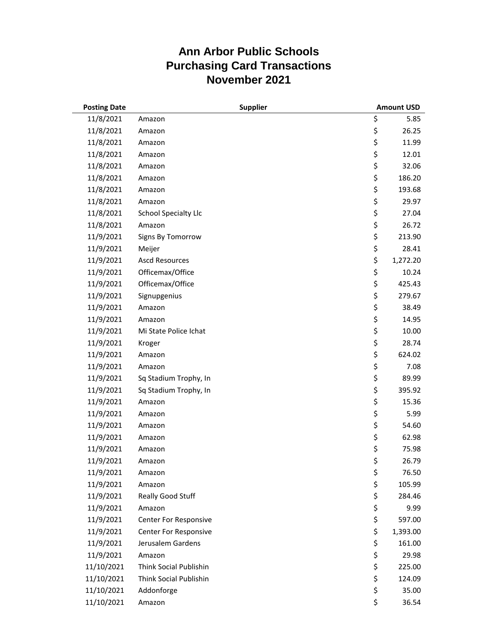| <b>Posting Date</b> |                              | <b>Supplier</b> | <b>Amount USD</b> |
|---------------------|------------------------------|-----------------|-------------------|
| 11/8/2021           | Amazon                       |                 | \$<br>5.85        |
| 11/8/2021           | Amazon                       |                 | \$<br>26.25       |
| 11/8/2021           | Amazon                       |                 | \$<br>11.99       |
| 11/8/2021           | Amazon                       |                 | \$<br>12.01       |
| 11/8/2021           | Amazon                       |                 | \$<br>32.06       |
| 11/8/2021           | Amazon                       |                 | \$<br>186.20      |
| 11/8/2021           | Amazon                       |                 | \$<br>193.68      |
| 11/8/2021           | Amazon                       |                 | \$<br>29.97       |
| 11/8/2021           | <b>School Specialty Llc</b>  |                 | \$<br>27.04       |
| 11/8/2021           | Amazon                       |                 | \$<br>26.72       |
| 11/9/2021           | Signs By Tomorrow            |                 | \$<br>213.90      |
| 11/9/2021           | Meijer                       |                 | \$<br>28.41       |
| 11/9/2021           | <b>Ascd Resources</b>        |                 | \$<br>1,272.20    |
| 11/9/2021           | Officemax/Office             |                 | \$<br>10.24       |
| 11/9/2021           | Officemax/Office             |                 | \$<br>425.43      |
| 11/9/2021           | Signupgenius                 |                 | \$<br>279.67      |
| 11/9/2021           | Amazon                       |                 | \$<br>38.49       |
| 11/9/2021           | Amazon                       |                 | \$<br>14.95       |
| 11/9/2021           | Mi State Police Ichat        |                 | \$<br>10.00       |
| 11/9/2021           | Kroger                       |                 | \$<br>28.74       |
| 11/9/2021           | Amazon                       |                 | \$<br>624.02      |
| 11/9/2021           | Amazon                       |                 | \$<br>7.08        |
| 11/9/2021           | Sq Stadium Trophy, In        |                 | \$<br>89.99       |
| 11/9/2021           | Sq Stadium Trophy, In        |                 | \$<br>395.92      |
| 11/9/2021           | Amazon                       |                 | \$<br>15.36       |
| 11/9/2021           | Amazon                       |                 | \$<br>5.99        |
| 11/9/2021           | Amazon                       |                 | \$<br>54.60       |
| 11/9/2021           | Amazon                       |                 | \$<br>62.98       |
| 11/9/2021           | Amazon                       |                 | \$<br>75.98       |
| 11/9/2021           | Amazon                       |                 | \$<br>26.79       |
| 11/9/2021           | Amazon                       |                 | \$<br>76.50       |
| 11/9/2021           | Amazon                       |                 | \$<br>105.99      |
| 11/9/2021           | Really Good Stuff            |                 | \$<br>284.46      |
| 11/9/2021           | Amazon                       |                 | \$<br>9.99        |
| 11/9/2021           | Center For Responsive        |                 | \$<br>597.00      |
| 11/9/2021           | <b>Center For Responsive</b> |                 | \$<br>1,393.00    |
| 11/9/2021           | Jerusalem Gardens            |                 | \$<br>161.00      |
| 11/9/2021           | Amazon                       |                 | \$<br>29.98       |
| 11/10/2021          | Think Social Publishin       |                 | \$<br>225.00      |
| 11/10/2021          | Think Social Publishin       |                 | \$<br>124.09      |
| 11/10/2021          | Addonforge                   |                 | \$<br>35.00       |
| 11/10/2021          | Amazon                       |                 | \$<br>36.54       |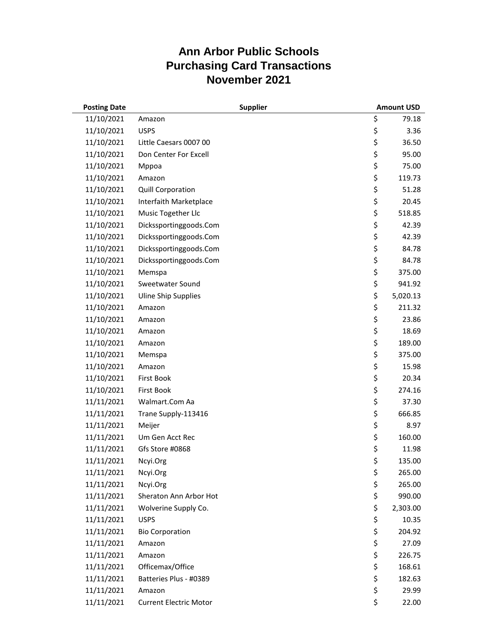| <b>Posting Date</b> | <b>Supplier</b>               | <b>Amount USD</b> |
|---------------------|-------------------------------|-------------------|
| 11/10/2021          | Amazon                        | \$<br>79.18       |
| 11/10/2021          | <b>USPS</b>                   | \$<br>3.36        |
| 11/10/2021          | Little Caesars 0007 00        | \$<br>36.50       |
| 11/10/2021          | Don Center For Excell         | \$<br>95.00       |
| 11/10/2021          | Mppoa                         | \$<br>75.00       |
| 11/10/2021          | Amazon                        | \$<br>119.73      |
| 11/10/2021          | <b>Quill Corporation</b>      | \$<br>51.28       |
| 11/10/2021          | Interfaith Marketplace        | \$<br>20.45       |
| 11/10/2021          | Music Together Llc            | \$<br>518.85      |
| 11/10/2021          | Dickssportinggoods.Com        | \$<br>42.39       |
| 11/10/2021          | Dickssportinggoods.Com        | \$<br>42.39       |
| 11/10/2021          | Dickssportinggoods.Com        | \$<br>84.78       |
| 11/10/2021          | Dickssportinggoods.Com        | \$<br>84.78       |
| 11/10/2021          | Memspa                        | \$<br>375.00      |
| 11/10/2021          | Sweetwater Sound              | \$<br>941.92      |
| 11/10/2021          | <b>Uline Ship Supplies</b>    | \$<br>5,020.13    |
| 11/10/2021          | Amazon                        | \$<br>211.32      |
| 11/10/2021          | Amazon                        | \$<br>23.86       |
| 11/10/2021          | Amazon                        | \$<br>18.69       |
| 11/10/2021          | Amazon                        | \$<br>189.00      |
| 11/10/2021          | Memspa                        | \$<br>375.00      |
| 11/10/2021          | Amazon                        | \$<br>15.98       |
| 11/10/2021          | <b>First Book</b>             | \$<br>20.34       |
| 11/10/2021          | <b>First Book</b>             | \$<br>274.16      |
| 11/11/2021          | Walmart.Com Aa                | \$<br>37.30       |
| 11/11/2021          | Trane Supply-113416           | \$<br>666.85      |
| 11/11/2021          | Meijer                        | \$<br>8.97        |
| 11/11/2021          | Um Gen Acct Rec               | \$<br>160.00      |
| 11/11/2021          | Gfs Store #0868               | \$<br>11.98       |
| 11/11/2021          | Ncyi.Org                      | \$<br>135.00      |
| 11/11/2021          | Ncyi.Org                      | \$<br>265.00      |
| 11/11/2021          | Ncyi.Org                      | \$<br>265.00      |
| 11/11/2021          | Sheraton Ann Arbor Hot        | \$<br>990.00      |
| 11/11/2021          | Wolverine Supply Co.          | \$<br>2,303.00    |
| 11/11/2021          | <b>USPS</b>                   | \$<br>10.35       |
| 11/11/2021          | <b>Bio Corporation</b>        | \$<br>204.92      |
| 11/11/2021          | Amazon                        | \$<br>27.09       |
| 11/11/2021          | Amazon                        | \$<br>226.75      |
| 11/11/2021          | Officemax/Office              | \$<br>168.61      |
| 11/11/2021          | Batteries Plus - #0389        | \$<br>182.63      |
| 11/11/2021          | Amazon                        | \$<br>29.99       |
| 11/11/2021          | <b>Current Electric Motor</b> | \$<br>22.00       |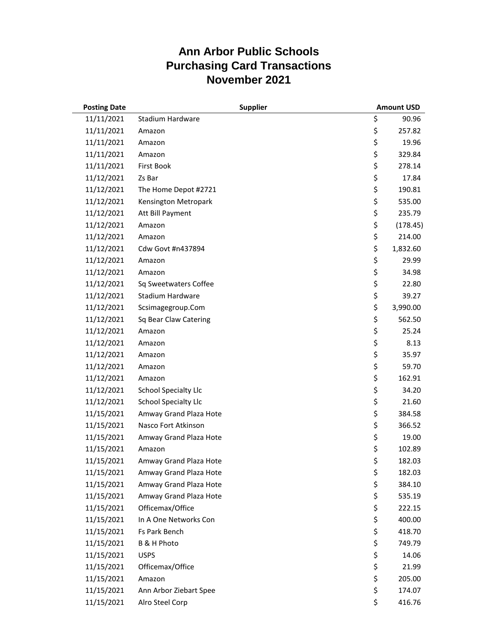| <b>Posting Date</b> |                             | <b>Supplier</b> | <b>Amount USD</b> |
|---------------------|-----------------------------|-----------------|-------------------|
| 11/11/2021          | Stadium Hardware            |                 | \$<br>90.96       |
| 11/11/2021          | Amazon                      |                 | \$<br>257.82      |
| 11/11/2021          | Amazon                      |                 | \$<br>19.96       |
| 11/11/2021          | Amazon                      |                 | \$<br>329.84      |
| 11/11/2021          | <b>First Book</b>           |                 | \$<br>278.14      |
| 11/12/2021          | Zs Bar                      |                 | \$<br>17.84       |
| 11/12/2021          | The Home Depot #2721        |                 | \$<br>190.81      |
| 11/12/2021          | Kensington Metropark        |                 | \$<br>535.00      |
| 11/12/2021          | Att Bill Payment            |                 | \$<br>235.79      |
| 11/12/2021          | Amazon                      |                 | \$<br>(178.45)    |
| 11/12/2021          | Amazon                      |                 | \$<br>214.00      |
| 11/12/2021          | Cdw Govt #n437894           |                 | \$<br>1,832.60    |
| 11/12/2021          | Amazon                      |                 | \$<br>29.99       |
| 11/12/2021          | Amazon                      |                 | \$<br>34.98       |
| 11/12/2021          | Sq Sweetwaters Coffee       |                 | \$<br>22.80       |
| 11/12/2021          | <b>Stadium Hardware</b>     |                 | \$<br>39.27       |
| 11/12/2021          | Scsimagegroup.Com           |                 | \$<br>3,990.00    |
| 11/12/2021          | Sq Bear Claw Catering       |                 | \$<br>562.50      |
| 11/12/2021          | Amazon                      |                 | \$<br>25.24       |
| 11/12/2021          | Amazon                      |                 | \$<br>8.13        |
| 11/12/2021          | Amazon                      |                 | \$<br>35.97       |
| 11/12/2021          | Amazon                      |                 | \$<br>59.70       |
| 11/12/2021          | Amazon                      |                 | \$<br>162.91      |
| 11/12/2021          | <b>School Specialty Llc</b> |                 | \$<br>34.20       |
| 11/12/2021          | <b>School Specialty Llc</b> |                 | \$<br>21.60       |
| 11/15/2021          | Amway Grand Plaza Hote      |                 | \$<br>384.58      |
| 11/15/2021          | Nasco Fort Atkinson         |                 | \$<br>366.52      |
| 11/15/2021          | Amway Grand Plaza Hote      |                 | \$<br>19.00       |
| 11/15/2021          | Amazon                      |                 | \$<br>102.89      |
| 11/15/2021          | Amway Grand Plaza Hote      |                 | \$<br>182.03      |
| 11/15/2021          | Amway Grand Plaza Hote      |                 | \$<br>182.03      |
| 11/15/2021          | Amway Grand Plaza Hote      |                 | \$<br>384.10      |
| 11/15/2021          | Amway Grand Plaza Hote      |                 | \$<br>535.19      |
| 11/15/2021          | Officemax/Office            |                 | \$<br>222.15      |
| 11/15/2021          | In A One Networks Con       |                 | \$<br>400.00      |
| 11/15/2021          | Fs Park Bench               |                 | \$<br>418.70      |
| 11/15/2021          | B & H Photo                 |                 | \$<br>749.79      |
| 11/15/2021          | <b>USPS</b>                 |                 | \$<br>14.06       |
| 11/15/2021          | Officemax/Office            |                 | \$<br>21.99       |
| 11/15/2021          | Amazon                      |                 | \$<br>205.00      |
| 11/15/2021          | Ann Arbor Ziebart Spee      |                 | \$<br>174.07      |
| 11/15/2021          | Alro Steel Corp             |                 | \$<br>416.76      |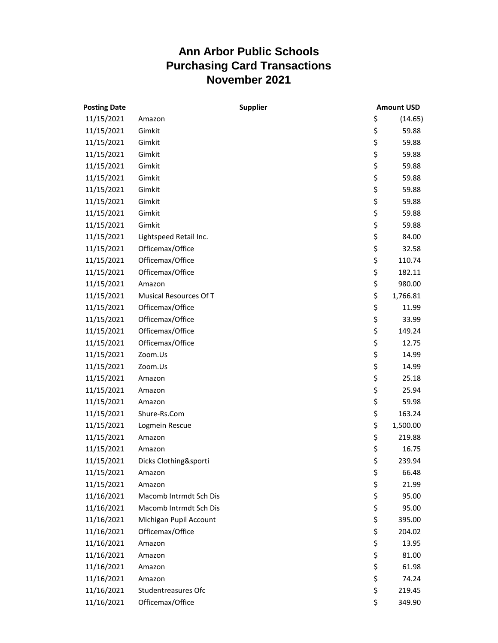| <b>Posting Date</b> | <b>Supplier</b>        | <b>Amount USD</b> |
|---------------------|------------------------|-------------------|
| 11/15/2021          | Amazon                 | \$<br>(14.65)     |
| 11/15/2021          | Gimkit                 | \$<br>59.88       |
| 11/15/2021          | Gimkit                 | \$<br>59.88       |
| 11/15/2021          | Gimkit                 | \$<br>59.88       |
| 11/15/2021          | Gimkit                 | \$<br>59.88       |
| 11/15/2021          | Gimkit                 | \$<br>59.88       |
| 11/15/2021          | Gimkit                 | \$<br>59.88       |
| 11/15/2021          | Gimkit                 | \$<br>59.88       |
| 11/15/2021          | Gimkit                 | \$<br>59.88       |
| 11/15/2021          | Gimkit                 | \$<br>59.88       |
| 11/15/2021          | Lightspeed Retail Inc. | \$<br>84.00       |
| 11/15/2021          | Officemax/Office       | \$<br>32.58       |
| 11/15/2021          | Officemax/Office       | \$<br>110.74      |
| 11/15/2021          | Officemax/Office       | \$<br>182.11      |
| 11/15/2021          | Amazon                 | \$<br>980.00      |
| 11/15/2021          | Musical Resources Of T | \$<br>1,766.81    |
| 11/15/2021          | Officemax/Office       | \$<br>11.99       |
| 11/15/2021          | Officemax/Office       | \$<br>33.99       |
| 11/15/2021          | Officemax/Office       | \$<br>149.24      |
| 11/15/2021          | Officemax/Office       | \$<br>12.75       |
| 11/15/2021          | Zoom.Us                | \$<br>14.99       |
| 11/15/2021          | Zoom.Us                | \$<br>14.99       |
| 11/15/2021          | Amazon                 | \$<br>25.18       |
| 11/15/2021          | Amazon                 | \$<br>25.94       |
| 11/15/2021          | Amazon                 | \$<br>59.98       |
| 11/15/2021          | Shure-Rs.Com           | \$<br>163.24      |
| 11/15/2021          | Logmein Rescue         | \$<br>1,500.00    |
| 11/15/2021          | Amazon                 | \$<br>219.88      |
| 11/15/2021          | Amazon                 | \$<br>16.75       |
| 11/15/2021          | Dicks Clothing&sporti  | \$<br>239.94      |
| 11/15/2021          | Amazon                 | \$<br>66.48       |
| 11/15/2021          | Amazon                 | \$<br>21.99       |
| 11/16/2021          | Macomb Intrmdt Sch Dis | \$<br>95.00       |
| 11/16/2021          | Macomb Intrmdt Sch Dis | \$<br>95.00       |
| 11/16/2021          | Michigan Pupil Account | \$<br>395.00      |
| 11/16/2021          | Officemax/Office       | \$<br>204.02      |
| 11/16/2021          | Amazon                 | \$<br>13.95       |
| 11/16/2021          | Amazon                 | \$<br>81.00       |
| 11/16/2021          | Amazon                 | \$<br>61.98       |
| 11/16/2021          | Amazon                 | \$<br>74.24       |
| 11/16/2021          | Studentreasures Ofc    | \$<br>219.45      |
| 11/16/2021          | Officemax/Office       | \$<br>349.90      |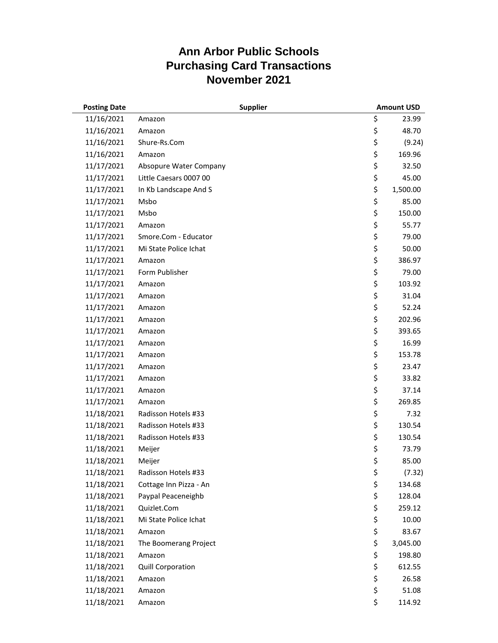| <b>Posting Date</b> | <b>Supplier</b>          | <b>Amount USD</b> |
|---------------------|--------------------------|-------------------|
| 11/16/2021          | Amazon                   | \$<br>23.99       |
| 11/16/2021          | Amazon                   | \$<br>48.70       |
| 11/16/2021          | Shure-Rs.Com             | \$<br>(9.24)      |
| 11/16/2021          | Amazon                   | \$<br>169.96      |
| 11/17/2021          | Absopure Water Company   | \$<br>32.50       |
| 11/17/2021          | Little Caesars 0007 00   | \$<br>45.00       |
| 11/17/2021          | In Kb Landscape And S    | \$<br>1,500.00    |
| 11/17/2021          | Msbo                     | \$<br>85.00       |
| 11/17/2021          | Msbo                     | \$<br>150.00      |
| 11/17/2021          | Amazon                   | \$<br>55.77       |
| 11/17/2021          | Smore.Com - Educator     | \$<br>79.00       |
| 11/17/2021          | Mi State Police Ichat    | \$<br>50.00       |
| 11/17/2021          | Amazon                   | \$<br>386.97      |
| 11/17/2021          | Form Publisher           | \$<br>79.00       |
| 11/17/2021          | Amazon                   | \$<br>103.92      |
| 11/17/2021          | Amazon                   | \$<br>31.04       |
| 11/17/2021          | Amazon                   | \$<br>52.24       |
| 11/17/2021          | Amazon                   | \$<br>202.96      |
| 11/17/2021          | Amazon                   | \$<br>393.65      |
| 11/17/2021          | Amazon                   | \$<br>16.99       |
| 11/17/2021          | Amazon                   | \$<br>153.78      |
| 11/17/2021          | Amazon                   | \$<br>23.47       |
| 11/17/2021          | Amazon                   | \$<br>33.82       |
| 11/17/2021          | Amazon                   | \$<br>37.14       |
| 11/17/2021          | Amazon                   | \$<br>269.85      |
| 11/18/2021          | Radisson Hotels #33      | \$<br>7.32        |
| 11/18/2021          | Radisson Hotels #33      | \$<br>130.54      |
| 11/18/2021          | Radisson Hotels #33      | \$<br>130.54      |
| 11/18/2021          | Meijer                   | \$<br>73.79       |
| 11/18/2021          | Meijer                   | \$<br>85.00       |
| 11/18/2021          | Radisson Hotels #33      | \$<br>(7.32)      |
| 11/18/2021          | Cottage Inn Pizza - An   | \$<br>134.68      |
| 11/18/2021          | Paypal Peaceneighb       | \$<br>128.04      |
| 11/18/2021          | Quizlet.Com              | \$<br>259.12      |
| 11/18/2021          | Mi State Police Ichat    | \$<br>10.00       |
| 11/18/2021          | Amazon                   | \$<br>83.67       |
| 11/18/2021          | The Boomerang Project    | \$<br>3,045.00    |
| 11/18/2021          | Amazon                   | \$<br>198.80      |
| 11/18/2021          | <b>Quill Corporation</b> | \$<br>612.55      |
| 11/18/2021          | Amazon                   | \$<br>26.58       |
| 11/18/2021          | Amazon                   | \$<br>51.08       |
| 11/18/2021          | Amazon                   | \$<br>114.92      |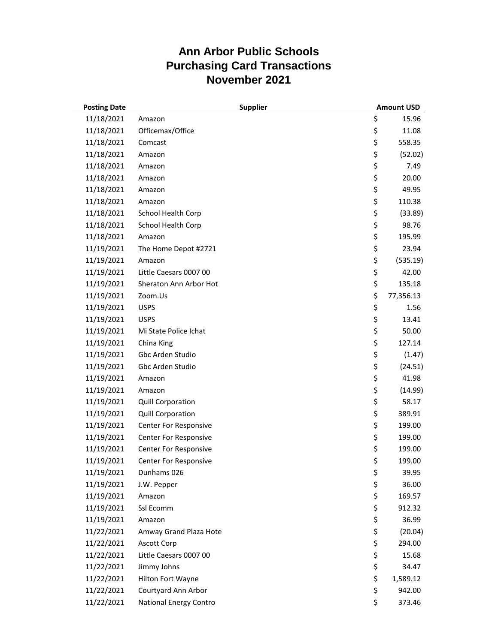| <b>Posting Date</b> |                               | <b>Supplier</b> | <b>Amount USD</b> |
|---------------------|-------------------------------|-----------------|-------------------|
| 11/18/2021          | Amazon                        |                 | \$<br>15.96       |
| 11/18/2021          | Officemax/Office              |                 | \$<br>11.08       |
| 11/18/2021          | Comcast                       |                 | \$<br>558.35      |
| 11/18/2021          | Amazon                        |                 | \$<br>(52.02)     |
| 11/18/2021          | Amazon                        |                 | \$<br>7.49        |
| 11/18/2021          | Amazon                        |                 | \$<br>20.00       |
| 11/18/2021          | Amazon                        |                 | \$<br>49.95       |
| 11/18/2021          | Amazon                        |                 | \$<br>110.38      |
| 11/18/2021          | School Health Corp            |                 | \$<br>(33.89)     |
| 11/18/2021          | School Health Corp            |                 | \$<br>98.76       |
| 11/18/2021          | Amazon                        |                 | \$<br>195.99      |
| 11/19/2021          | The Home Depot #2721          |                 | \$<br>23.94       |
| 11/19/2021          | Amazon                        |                 | \$<br>(535.19)    |
| 11/19/2021          | Little Caesars 0007 00        |                 | \$<br>42.00       |
| 11/19/2021          | Sheraton Ann Arbor Hot        |                 | \$<br>135.18      |
| 11/19/2021          | Zoom.Us                       |                 | \$<br>77,356.13   |
| 11/19/2021          | <b>USPS</b>                   |                 | \$<br>1.56        |
| 11/19/2021          | <b>USPS</b>                   |                 | \$<br>13.41       |
| 11/19/2021          | Mi State Police Ichat         |                 | \$<br>50.00       |
| 11/19/2021          | China King                    |                 | \$<br>127.14      |
| 11/19/2021          | Gbc Arden Studio              |                 | \$<br>(1.47)      |
| 11/19/2021          | Gbc Arden Studio              |                 | \$<br>(24.51)     |
| 11/19/2021          | Amazon                        |                 | \$<br>41.98       |
| 11/19/2021          | Amazon                        |                 | \$<br>(14.99)     |
| 11/19/2021          | <b>Quill Corporation</b>      |                 | \$<br>58.17       |
| 11/19/2021          | Quill Corporation             |                 | \$<br>389.91      |
| 11/19/2021          | Center For Responsive         |                 | \$<br>199.00      |
| 11/19/2021          | Center For Responsive         |                 | \$<br>199.00      |
| 11/19/2021          | Center For Responsive         |                 | \$<br>199.00      |
| 11/19/2021          | Center For Responsive         |                 | \$<br>199.00      |
| 11/19/2021          | Dunhams 026                   |                 | \$<br>39.95       |
| 11/19/2021          | J.W. Pepper                   |                 | \$<br>36.00       |
| 11/19/2021          | Amazon                        |                 | \$<br>169.57      |
| 11/19/2021          | Ssl Ecomm                     |                 | \$<br>912.32      |
| 11/19/2021          | Amazon                        |                 | \$<br>36.99       |
| 11/22/2021          | Amway Grand Plaza Hote        |                 | \$<br>(20.04)     |
| 11/22/2021          | <b>Ascott Corp</b>            |                 | \$<br>294.00      |
| 11/22/2021          | Little Caesars 0007 00        |                 | \$<br>15.68       |
| 11/22/2021          | Jimmy Johns                   |                 | \$<br>34.47       |
| 11/22/2021          | Hilton Fort Wayne             |                 | \$<br>1,589.12    |
| 11/22/2021          | Courtyard Ann Arbor           |                 | \$<br>942.00      |
| 11/22/2021          | <b>National Energy Contro</b> |                 | \$<br>373.46      |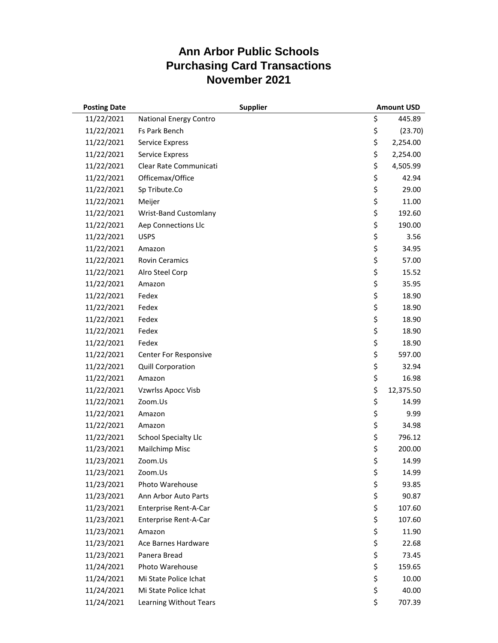| <b>Posting Date</b> | <b>Supplier</b>             | <b>Amount USD</b> |
|---------------------|-----------------------------|-------------------|
| 11/22/2021          | National Energy Contro      | \$<br>445.89      |
| 11/22/2021          | <b>Fs Park Bench</b>        | \$<br>(23.70)     |
| 11/22/2021          | <b>Service Express</b>      | \$<br>2,254.00    |
| 11/22/2021          | <b>Service Express</b>      | \$<br>2,254.00    |
| 11/22/2021          | Clear Rate Communicati      | \$<br>4,505.99    |
| 11/22/2021          | Officemax/Office            | \$<br>42.94       |
| 11/22/2021          | Sp Tribute.Co               | \$<br>29.00       |
| 11/22/2021          | Meijer                      | \$<br>11.00       |
| 11/22/2021          | Wrist-Band Customlany       | \$<br>192.60      |
| 11/22/2021          | Aep Connections Llc         | \$<br>190.00      |
| 11/22/2021          | <b>USPS</b>                 | \$<br>3.56        |
| 11/22/2021          | Amazon                      | \$<br>34.95       |
| 11/22/2021          | <b>Rovin Ceramics</b>       | \$<br>57.00       |
| 11/22/2021          | Alro Steel Corp             | \$<br>15.52       |
| 11/22/2021          | Amazon                      | \$<br>35.95       |
| 11/22/2021          | Fedex                       | \$<br>18.90       |
| 11/22/2021          | Fedex                       | \$<br>18.90       |
| 11/22/2021          | Fedex                       | \$<br>18.90       |
| 11/22/2021          | Fedex                       | \$<br>18.90       |
| 11/22/2021          | Fedex                       | \$<br>18.90       |
| 11/22/2021          | Center For Responsive       | \$<br>597.00      |
| 11/22/2021          | <b>Quill Corporation</b>    | \$<br>32.94       |
| 11/22/2021          | Amazon                      | \$<br>16.98       |
| 11/22/2021          | Vzwrlss Apocc Visb          | \$<br>12,375.50   |
| 11/22/2021          | Zoom.Us                     | \$<br>14.99       |
| 11/22/2021          | Amazon                      | \$<br>9.99        |
| 11/22/2021          | Amazon                      | \$<br>34.98       |
| 11/22/2021          | <b>School Specialty Llc</b> | \$<br>796.12      |
| 11/23/2021          | <b>Mailchimp Misc</b>       | \$<br>200.00      |
| 11/23/2021          | Zoom.Us                     | \$<br>14.99       |
| 11/23/2021          | Zoom.Us                     | \$<br>14.99       |
| 11/23/2021          | Photo Warehouse             | \$<br>93.85       |
| 11/23/2021          | Ann Arbor Auto Parts        | \$<br>90.87       |
| 11/23/2021          | Enterprise Rent-A-Car       | \$<br>107.60      |
| 11/23/2021          | Enterprise Rent-A-Car       | \$<br>107.60      |
| 11/23/2021          | Amazon                      | \$<br>11.90       |
| 11/23/2021          | Ace Barnes Hardware         | \$<br>22.68       |
| 11/23/2021          | Panera Bread                | \$<br>73.45       |
| 11/24/2021          | Photo Warehouse             | \$<br>159.65      |
| 11/24/2021          | Mi State Police Ichat       | \$<br>10.00       |
| 11/24/2021          | Mi State Police Ichat       | \$<br>40.00       |
| 11/24/2021          | Learning Without Tears      | \$<br>707.39      |